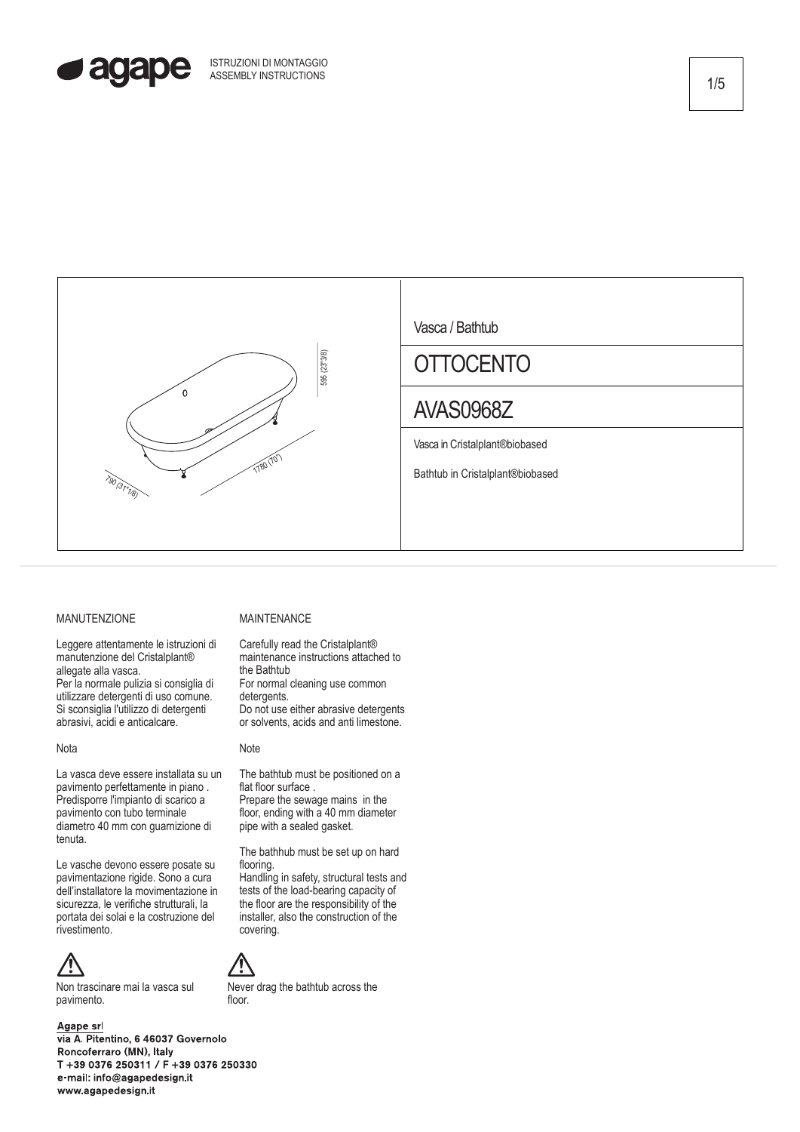



# MANUTENZIONE

Leggere attentamente le istruzioni di manutenzione del Cristalplant® allegate alla vasca. Per la normale pulizia si consiglia di utilizzare detergenti di uso comune. Si sconsiglia l'utilizzo di detergenti abrasivi, acidi e anticalcare.

### Nota

La vasca deve essere installata su un pavimento perfettamente in piano . Predisporre l'impianto di scarico a pavimento con tubo terminale diametro 40 mm con guarnizione di tenuta.

Le vasche devono essere posate su pavimentazione rigide. Sono a cura dell'installatore la movimentazione in sicurezza, le verifiche strutturali, la portata dei solai e la costruzione del rivestimento.



Non trascinare mai la vasca sul pavimento.

### Agape srl

via A. Pitentino, 6 46037 Governolo Roncoferraro (MN), Italy T +39 0376 250311 / F +39 0376 250330 e-mail: info@agapedesign.it www.agapedesign.it

## MAINTENANCE

Carefully read the Cristalplant® maintenance instructions attached to the Bathtub For normal cleaning use common detergents. Do not use either abrasive detergents or solvents, acids and anti limestone.

#### **Note**

The bathtub must be positioned on a flat floor surface . Prepare the sewage mains in the floor, ending with a 40 mm diameter pipe with a sealed gasket.

The bathhub must be set up on hard flooring.

Handling in safety, structural tests and tests of the load-bearing capacity of the floor are the responsibility of the installer, also the construction of the covering.



Never drag the bathtub across the floor.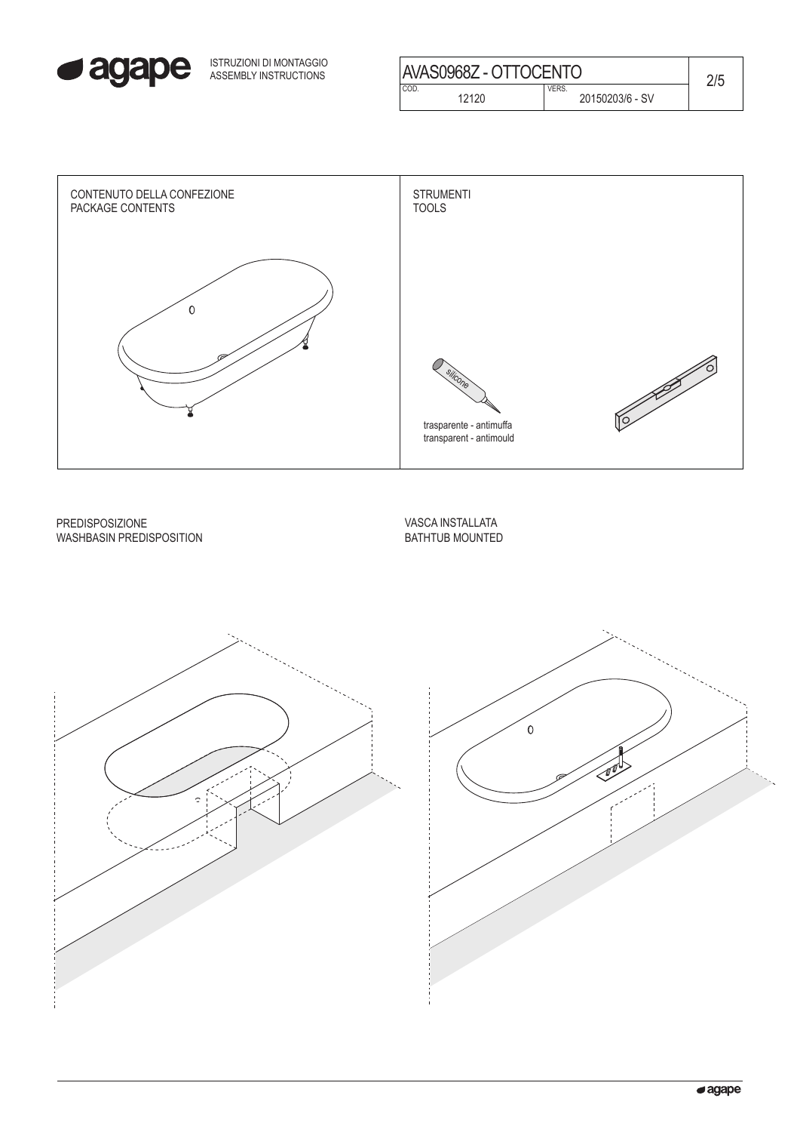

| ISTRUZIONI DI MONTAGGIO<br>ASSEMBLY INSTRUCTIONS | AVAS0968Z - OTTOCENTO |                                 | 2/5 |
|--------------------------------------------------|-----------------------|---------------------------------|-----|
|                                                  | COD.<br>12120         | <b>VERS.</b><br>20150203/6 - SV |     |



PREDISPOSIZIONE WASHBASIN PREDISPOSITION VASCA INSTALLATA BATHTUB MOUNTED



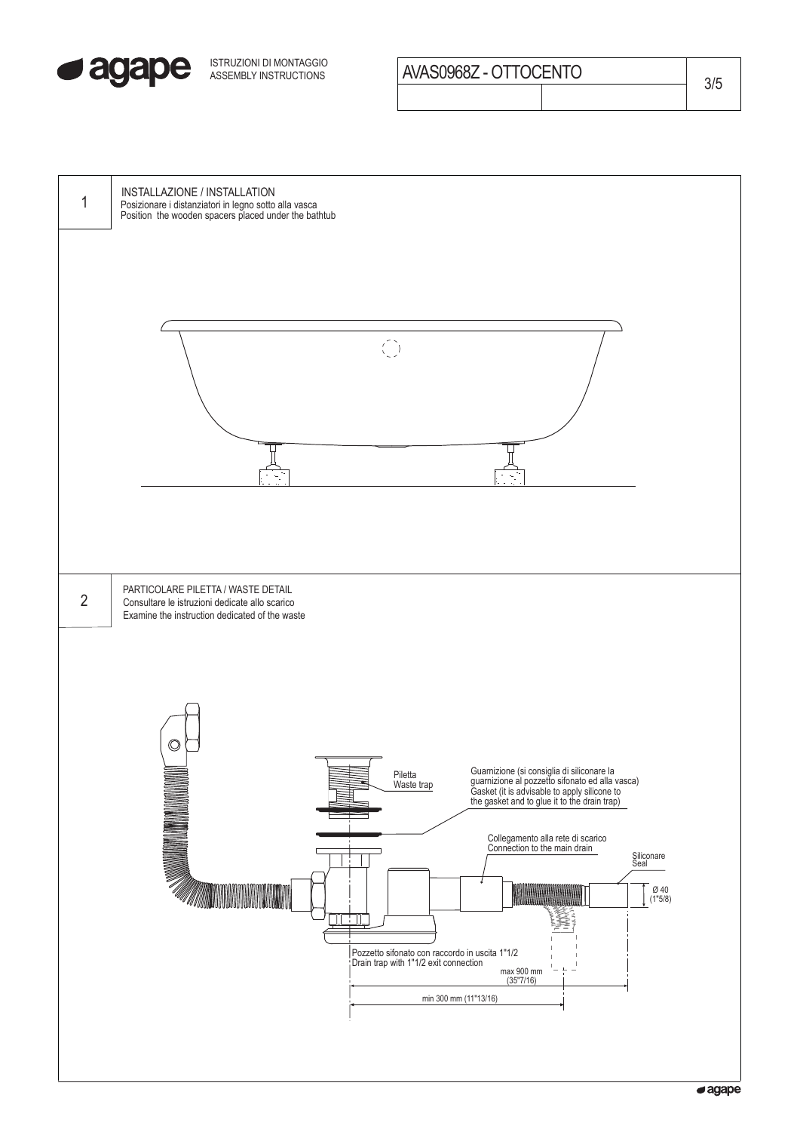

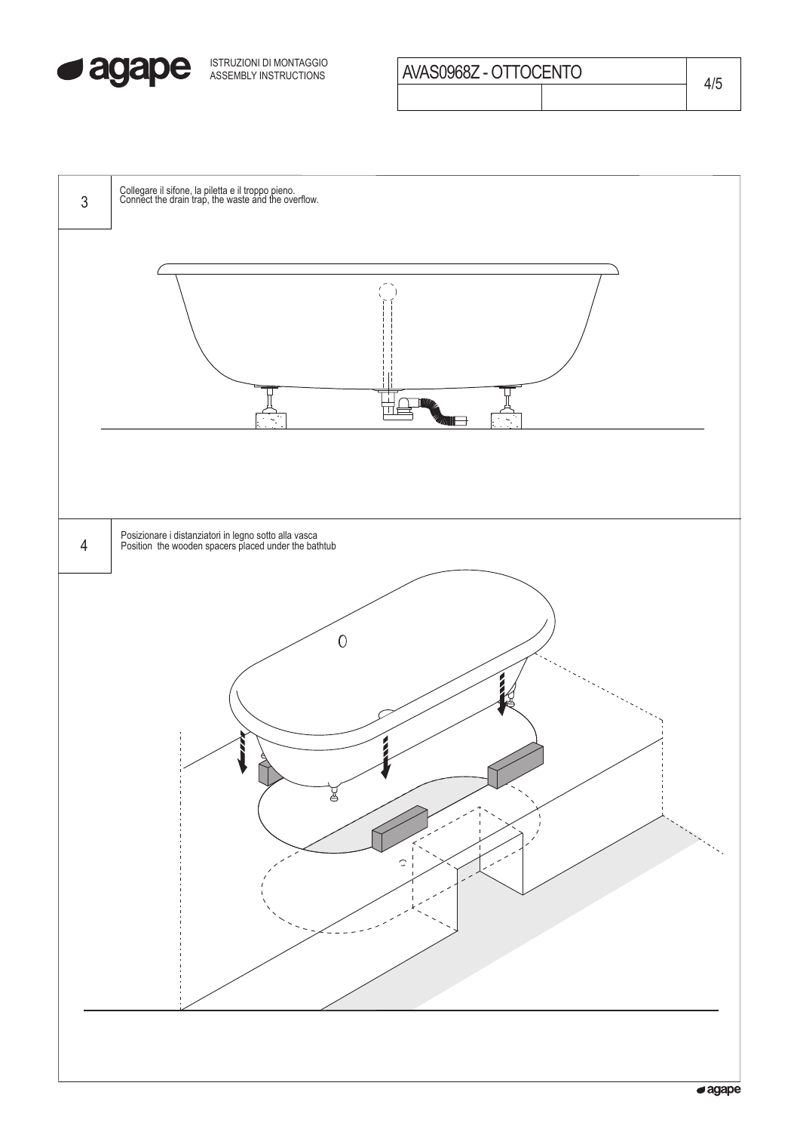